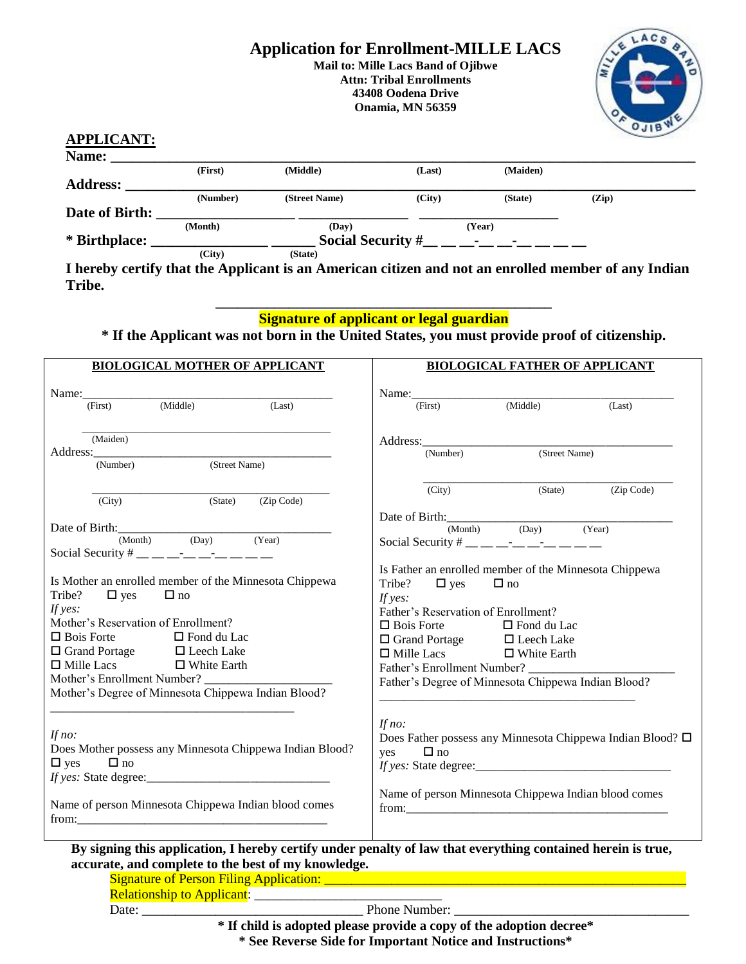#### **Application for Enrollment-MILLE LACS Mail to: Mille Lacs Band of Ojibwe Attn: Tribal Enrollments 43408 Oodena Drive**

**Onamia, MN 56359**



## **APPLICANT:**

| Name:           |          |                                    |        |          |       |  |
|-----------------|----------|------------------------------------|--------|----------|-------|--|
|                 | (First)  | (Middle)                           | (Last) | (Maiden) |       |  |
| <b>Address:</b> |          |                                    |        |          |       |  |
|                 | (Number) | (Street Name)                      | (City) | (State)  | (Zip) |  |
| Date of Birth:  |          |                                    |        |          |       |  |
|                 | (Month)  | (Day)                              |        | (Year)   |       |  |
| * Birthplace:   |          | <b>Social Security #</b><br>٠<br>٠ |        |          |       |  |
|                 | (City)   | (State)                            |        |          |       |  |

**I hereby certify that the Applicant is an American citizen and not an enrolled member of any Indian Tribe.**

## **\_\_\_\_\_\_\_\_\_\_\_\_\_\_\_\_\_\_\_\_\_\_\_\_\_\_\_\_\_\_\_\_\_\_\_\_\_\_\_\_\_\_\_\_\_\_ Signature of applicant or legal guardian**

**\* If the Applicant was not born in the United States, you must provide proof of citizenship.**

| Name: Tirst) (Middle) (Last)                                                                                 | Name: Tirst (First) (Middle) (Last)                                    |  |  |
|--------------------------------------------------------------------------------------------------------------|------------------------------------------------------------------------|--|--|
|                                                                                                              |                                                                        |  |  |
| (Maiden)                                                                                                     |                                                                        |  |  |
| (Street Name)<br>(Number)                                                                                    | (Street Name)<br>(Number)                                              |  |  |
|                                                                                                              |                                                                        |  |  |
| (State) (Zip Code)<br>(City)                                                                                 | (State) (Zip Code)<br>(City)                                           |  |  |
|                                                                                                              | Date of Birth: $\frac{1}{(Month)}$ (Day) (Year)                        |  |  |
| (Month) (Day) (Year)                                                                                         |                                                                        |  |  |
| Social Security # __ __ __ __ __ __ __ __ __                                                                 | Social Security # __ __ __ __ __ __ __ __ __ __                        |  |  |
|                                                                                                              | Is Father an enrolled member of the Minnesota Chippewa                 |  |  |
| Is Mother an enrolled member of the Minnesota Chippewa                                                       | Tribe?<br>$\Box$ yes<br>$\Box$ no                                      |  |  |
| Tribe?<br>$\Box$ yes<br>$\Box$ no                                                                            | If yes:                                                                |  |  |
| If yes:                                                                                                      | Father's Reservation of Enrollment?                                    |  |  |
| Mother's Reservation of Enrollment?                                                                          | $\Box$ Bois Forte $\Box$ Fond du Lac                                   |  |  |
| $\Box$ Bois Forte<br>□ Fond du Lac                                                                           |                                                                        |  |  |
| $\Box$ Grand Portage $\Box$ Leech Lake                                                                       | □ Start Correction<br>□ Grand Portage<br>□ Leech Lake<br>□ White Earth |  |  |
| $\Box$ Mille Lacs $\Box$ White Earth                                                                         | Father's Enrollment Number?                                            |  |  |
|                                                                                                              | Father's Degree of Minnesota Chippewa Indian Blood?                    |  |  |
| Mother's Degree of Minnesota Chippewa Indian Blood?                                                          |                                                                        |  |  |
|                                                                                                              |                                                                        |  |  |
|                                                                                                              | If $no$ :                                                              |  |  |
| If $no$ :                                                                                                    | Does Father possess any Minnesota Chippewa Indian Blood? $\square$     |  |  |
| Does Mother possess any Minnesota Chippewa Indian Blood?                                                     | $\Box$ no<br>yes                                                       |  |  |
| $\Box$ yes<br>$\Box$ no                                                                                      |                                                                        |  |  |
|                                                                                                              |                                                                        |  |  |
|                                                                                                              | Name of person Minnesota Chippewa Indian blood comes                   |  |  |
| Name of person Minnesota Chippewa Indian blood comes                                                         |                                                                        |  |  |
|                                                                                                              |                                                                        |  |  |
|                                                                                                              |                                                                        |  |  |
| By signing this application, I hereby certify under penalty of law that everything contained herein is true, |                                                                        |  |  |
| accurate, and complete to the best of my knowledge.                                                          |                                                                        |  |  |
|                                                                                                              |                                                                        |  |  |
| <b>Relationship to Applicant:</b>                                                                            |                                                                        |  |  |

Date: \_\_\_\_\_\_\_\_\_\_\_\_\_\_\_\_\_\_\_\_\_\_\_\_\_\_\_\_\_\_\_\_\_ Phone Number: \_\_\_\_\_\_\_\_\_\_\_\_\_\_\_\_\_\_\_\_\_\_\_\_\_\_\_\_\_\_\_\_\_\_\_ **\* If child is adopted please provide a copy of the adoption decree\* \* See Reverse Side for Important Notice and Instructions\***